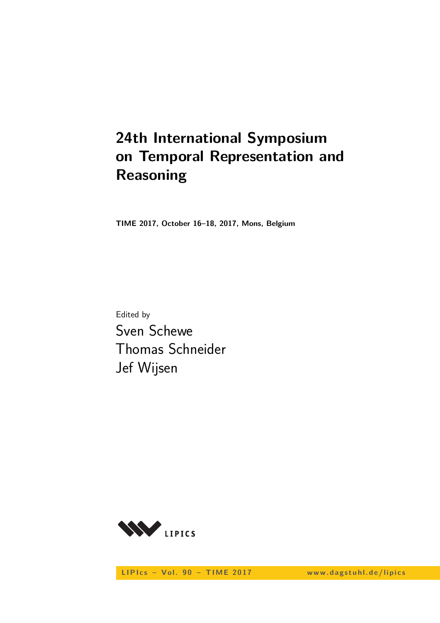# **24th International Symposium on Temporal Representation and Reasoning**

**TIME 2017, October 16–18, 2017, Mons, Belgium**

Edited by Sven Schewe Thomas Schneider Jef Wijsen



LIPIcs - Vol. 90 - TIME 2017 www.dagstuhl.de/lipics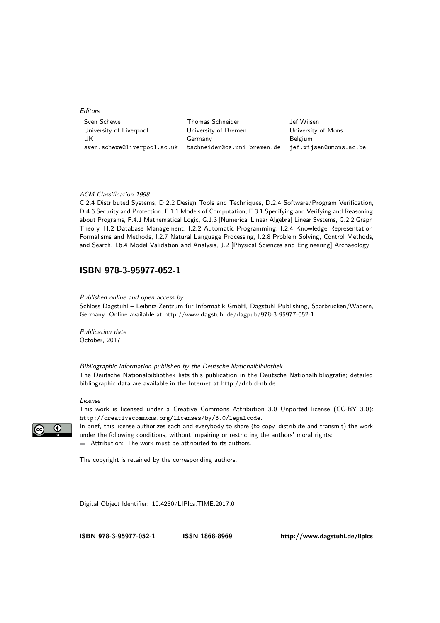Editors

| Sven Schewe                 | Thomas Schneider            | Jef Wijsen             |
|-----------------------------|-----------------------------|------------------------|
| University of Liverpool     | University of Bremen        | University of Mons     |
| UK                          | Germany                     | <b>Belgium</b>         |
| sven.schewe@liverpool.ac.uk | tschneider@cs.uni-bremen.de | jef.wijsen@umons.ac.be |

#### ACM Classification 1998

C.2.4 Distributed Systems, D.2.2 Design Tools and Techniques, D.2.4 Software/Program Verification, D.4.6 Security and Protection, F.1.1 Models of Computation, F.3.1 Specifying and Verifying and Reasoning about Programs, F.4.1 Mathematical Logic, G.1.3 [Numerical Linear Algebra] Linear Systems, G.2.2 Graph Theory, H.2 Database Management, I.2.2 Automatic Programming, I.2.4 Knowledge Representation Formalisms and Methods, I.2.7 Natural Language Processing, I.2.8 Problem Solving, Control Methods, and Search, I.6.4 Model Validation and Analysis, J.2 [Physical Sciences and Engineering] Archaeology

### **[ISBN 978-3-95977-052-1](http://www.dagstuhl.de/dagpub/978-3-95977-052-1)**

Published online and open access by

Schloss Dagstuhl – Leibniz-Zentrum für Informatik GmbH, Dagstuhl Publishing, Saarbrücken/Wadern, Germany. Online available at [http://www.dagstuhl.de/dagpub/978-3-95977-052-1.](http://www.dagstuhl.de/dagpub/978-3-95977-052-1)

Publication date October, 2017

Bibliographic information published by the Deutsche Nationalbibliothek The Deutsche Nationalbibliothek lists this publication in the Deutsche Nationalbibliografie; detailed bibliographic data are available in the Internet at [http://dnb.d-nb.de.](http://dnb.d-nb.de)

#### License

This work is licensed under a Creative Commons Attribution 3.0 Unported license (CC-BY 3.0): http://creativecommons.org/licenses/by/3.0/legalcode.

In brief, this license authorizes each and everybody to share (to copy, distribute and transmit) the work under the following conditions, without impairing or restricting the authors' moral rights: Attribution: The work must be attributed to its authors.

The copyright is retained by the corresponding authors.

Digital Object Identifier: [10.4230/LIPIcs.TIME.2017.0](http://dx.doi.org/10.4230/LIPIcs.TIME.2017.0)

**[ISBN 978-3-95977-052-1](http://www.dagstuhl.de/dagpub/978-3-95977-052-1) [ISSN 1868-8969](http://drops.dagstuhl.de/lipics)<http://www.dagstuhl.de/lipics>**

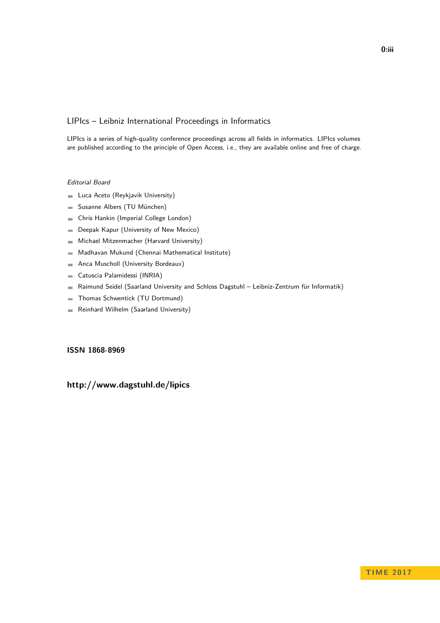### LIPIcs – Leibniz International Proceedings in Informatics

LIPIcs is a series of high-quality conference proceedings across all fields in informatics. LIPIcs volumes are published according to the principle of Open Access, i.e., they are available online and free of charge.

#### Editorial Board

- **Luca Aceto** (Reykjavik University)
- Susanne Albers (TU München)  $\equiv$
- Chris Hankin (Imperial College London)  $\blacksquare$
- Deepak Kapur (University of New Mexico)  $\equiv$
- Michael Mitzenmacher (Harvard University)  $\sim$
- Madhavan Mukund (Chennai Mathematical Institute)  $\blacksquare$
- Anca Muscholl (University Bordeaux)  $\blacksquare$
- Catuscia Palamidessi (INRIA)  $\overline{\phantom{a}}$
- Raimund Seidel (Saarland University and Schloss Dagstuhl Leibniz-Zentrum für Informatik)  $\blacksquare$
- Thomas Schwentick (TU Dortmund)  $\overline{a}$
- Reinhard Wilhelm (Saarland University)  $\bar{a}$

### **[ISSN 1868-8969](http://www.dagstuhl.de/dagpub/1868-8969)**

### **<http://www.dagstuhl.de/lipics>**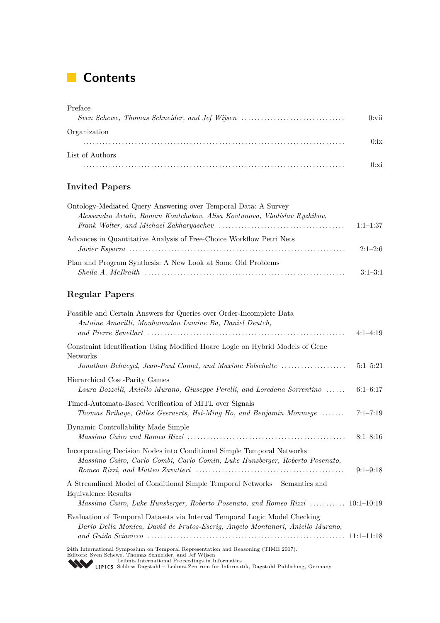# **Contents**

| Preface                                       |          |
|-----------------------------------------------|----------|
| Sven Schewe, Thomas Schneider, and Jef Wijsen | $0:$ vii |
| Organization                                  |          |
|                                               | 0:ix     |
| List of Authors                               |          |
|                                               | 0:xi     |

### **Invited Papers**

| Ontology-Mediated Query Answering over Temporal Data: A Survey            |            |
|---------------------------------------------------------------------------|------------|
| Alessandro Artale, Roman Kontchakov, Alisa Kovtunova, Vladislav Ryzhikov, |            |
|                                                                           | $1:1-1:37$ |
| Advances in Quantitative Analysis of Free-Choice Workflow Petri Nets      |            |
|                                                                           | $2:1-2:6$  |
| Plan and Program Synthesis: A New Look at Some Old Problems               |            |
|                                                                           | $3:1-3:1$  |

### **Regular Papers**

| Possible and Certain Answers for Queries over Order-Incomplete Data<br>Antoine Amarilli, Mouhamadou Lamine Ba, Daniel Deutch,                                                                               | $4:1-4:19$   |
|-------------------------------------------------------------------------------------------------------------------------------------------------------------------------------------------------------------|--------------|
| Constraint Identification Using Modified Hoare Logic on Hybrid Models of Gene<br>Networks<br>Jonathan Behaegel, Jean-Paul Comet, and Maxime Folschette                                                      | $5:1-5:21$   |
| Hierarchical Cost-Parity Games<br>Laura Bozzelli, Aniello Murano, Giuseppe Perelli, and Loredana Sorrentino                                                                                                 | $6:1-6:17$   |
| Timed-Automata-Based Verification of MITL over Signals<br>Thomas Brihaye, Gilles Geeraerts, Hsi-Ming Ho, and Benjamin Monmege                                                                               | $7:1 - 7:19$ |
| Dynamic Controllability Made Simple                                                                                                                                                                         | $8:1 - 8:16$ |
| Incorporating Decision Nodes into Conditional Simple Temporal Networks<br>Massimo Cairo, Carlo Combi, Carlo Comin, Luke Hunsberger, Roberto Posenato,                                                       | $9:1-9:18$   |
| A Streamlined Model of Conditional Simple Temporal Networks - Semantics and<br>Equivalence Results<br>Massimo Cairo, Luke Hunsberger, Roberto Posenato, and Romeo Rizzi  10:1–10:19                         |              |
| Evaluation of Temporal Datasets via Interval Temporal Logic Model Checking<br>Dario Della Monica, David de Frutos-Escriq, Angelo Montanari, Aniello Murano,                                                 |              |
| 24th International Symposium on Temporal Representation and Reasoning (TIME 2017).<br>Editors: Sven Schewe, Thomas Schneider, and Jef Wijsen<br>Leibniz International Proceedings in Informatics<br><b></b> |              |

[Leibniz International Proceedings in Informatics](http://www.dagstuhl.de/en/publications/lipics/) [Schloss Dagstuhl – Leibniz-Zentrum für Informatik, Dagstuhl Publishing, Germany](http://www.dagstuhl.de/en/about-dagstuhl/)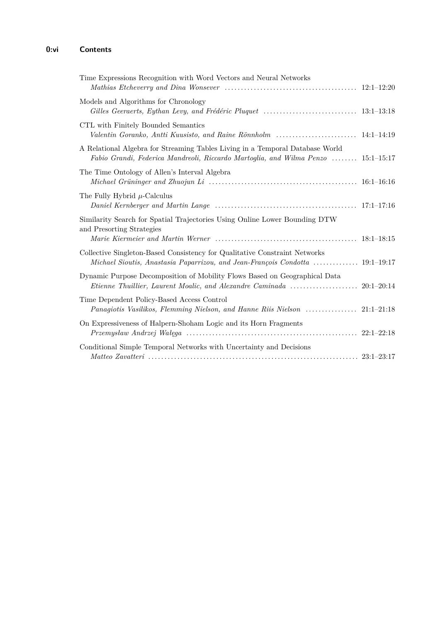### **0:vi Contents**

| Time Expressions Recognition with Word Vectors and Neural Networks<br>Mathias Etcheverry and Dina Wonsever $\ldots \ldots \ldots \ldots \ldots \ldots \ldots \ldots \ldots \ldots \ldots \ldots \qquad 12:1-12:20$ |  |
|--------------------------------------------------------------------------------------------------------------------------------------------------------------------------------------------------------------------|--|
| Models and Algorithms for Chronology<br>Gilles Geeraerts, Eythan Levy, and Frédéric Pluquet $\ldots \ldots \ldots \ldots \ldots \ldots \ldots \ldots \ldots 13:1-13:18$                                            |  |
| CTL with Finitely Bounded Semantics                                                                                                                                                                                |  |
| A Relational Algebra for Streaming Tables Living in a Temporal Database World<br>Fabio Grandi, Federica Mandreoli, Riccardo Martoglia, and Wilma Penzo  15:1–15:17                                                 |  |
| The Time Ontology of Allen's Interval Algebra                                                                                                                                                                      |  |
| The Fully Hybrid $\mu$ -Calculus                                                                                                                                                                                   |  |
| Similarity Search for Spatial Trajectories Using Online Lower Bounding DTW<br>and Presorting Strategies                                                                                                            |  |
| Collective Singleton-Based Consistency for Qualitative Constraint Networks<br>Michael Sioutis, Anastasia Paparrizou, and Jean-François Condotta  19:1–19:17                                                        |  |
| Dynamic Purpose Decomposition of Mobility Flows Based on Geographical Data                                                                                                                                         |  |
| Time Dependent Policy-Based Access Control<br>Panagiotis Vasilikos, Flemming Nielson, and Hanne Riis Nielson  21:1–21:18                                                                                           |  |
| On Expressiveness of Halpern-Shoham Logic and its Horn Fragments                                                                                                                                                   |  |
| Conditional Simple Temporal Networks with Uncertainty and Decisions                                                                                                                                                |  |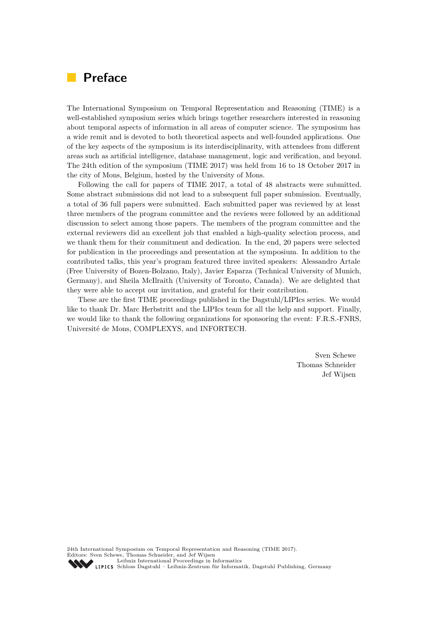## **Preface**

The International Symposium on Temporal Representation and Reasoning (TIME) is a well-established symposium series which brings together researchers interested in reasoning about temporal aspects of information in all areas of computer science. The symposium has a wide remit and is devoted to both theoretical aspects and well-founded applications. One of the key aspects of the symposium is its interdisciplinarity, with attendees from different areas such as artificial intelligence, database management, logic and verification, and beyond. The 24th edition of the symposium (TIME 2017) was held from 16 to 18 October 2017 in the city of Mons, Belgium, hosted by the University of Mons.

Following the call for papers of TIME 2017, a total of 48 abstracts were submitted. Some abstract submissions did not lead to a subsequent full paper submission. Eventually, a total of 36 full papers were submitted. Each submitted paper was reviewed by at least three members of the program committee and the reviews were followed by an additional discussion to select among those papers. The members of the program committee and the external reviewers did an excellent job that enabled a high-quality selection process, and we thank them for their commitment and dedication. In the end, 20 papers were selected for publication in the proceedings and presentation at the symposium. In addition to the contributed talks, this year's program featured three invited speakers: Alessandro Artale (Free University of Bozen-Bolzano, Italy), Javier Esparza (Technical University of Munich, Germany), and Sheila McIlraith (University of Toronto, Canada). We are delighted that they were able to accept our invitation, and grateful for their contribution.

These are the first TIME proceedings published in the Dagstuhl/LIPIcs series. We would like to thank Dr. Marc Herbstritt and the LIPIcs team for all the help and support. Finally, we would like to thank the following organizations for sponsoring the event: F.R.S.-FNRS, Université de Mons, COMPLEXYS, and INFORTECH.

> Sven Schewe Thomas Schneider Jef Wijsen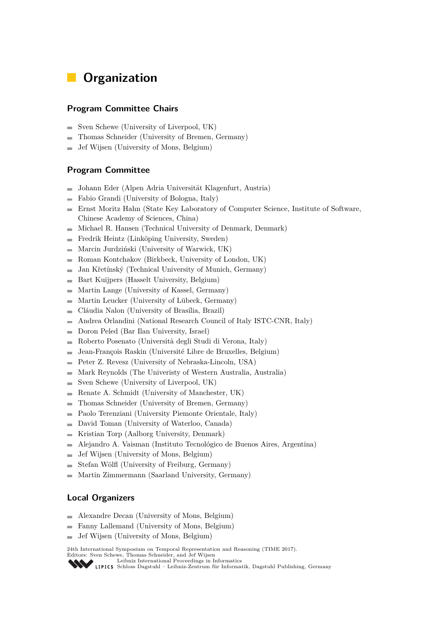# **Organization**

### **Program Committee Chairs**

- Sven Schewe (University of Liverpool, UK)  $\overline{\phantom{a}}$
- Thomas Schneider (University of Bremen, Germany) L.
- Jef Wijsen (University of Mons, Belgium)  $\overline{a}$

### **Program Committee**

- Johann Eder (Alpen Adria Universität Klagenfurt, Austria)  $\equiv$
- Fabio Grandi (University of Bologna, Italy)
- Ernst Moritz Hahn (State Key Laboratory of Computer Science, Institute of Software,  $\overline{a}$ Chinese Academy of Sciences, China)
- Michael R. Hansen (Technical University of Denmark, Denmark)  $\overline{\phantom{a}}$
- Fredrik Heintz (Linköping University, Sweden) ÷
- Marcin Jurdziński (University of Warwick, UK)  $\overline{a}$
- Roman Kontchakov (Birkbeck, University of London, UK)  $\overline{\phantom{0}}$
- Jan Křetínský (Technical University of Munich, Germany)  $\overline{a}$
- Bart Kuijpers (Hasselt University, Belgium)  $\blacksquare$
- Martin Lange (University of Kassel, Germany) ۰
- Martin Leucker (University of Lübeck, Germany)  $\overline{a}$
- Cláudia Nalon (University of Brasília, Brazil) Ē.
- Andrea Orlandini (National Research Council of Italy ISTC-CNR, Italy) ÷
- Doron Peled (Bar Ilan University, Israel)  $\overline{\phantom{a}}$
- Roberto Posenato (Università degli Studi di Verona, Italy)  $\equiv$
- Jean-François Raskin (Université Libre de Bruxelles, Belgium) ÷
- Peter Z. Revesz (University of Nebraska-Lincoln, USA)  $\overline{\phantom{a}}$
- Mark Reynolds (The Univeristy of Western Australia, Australia) ÷
- Sven Schewe (University of Liverpool, UK)  $\overline{\phantom{a}}$
- Renate A. Schmidt (University of Manchester, UK)  $\overline{a}$
- Thomas Schneider (University of Bremen, Germany)  $\overline{a}$
- Paolo Terenziani (University Piemonte Orientale, Italy) ۰
- David Toman (University of Waterloo, Canada) ÷
- Kristian Torp (Aalborg University, Denmark) ÷
- Alejandro A. Vaisman (Instituto Tecnológico de Buenos Aires, Argentina) ÷
- Jef Wijsen (University of Mons, Belgium)  $\overline{a}$
- Stefan Wölfl (University of Freiburg, Germany)
- Martin Zimmermann (Saarland University, Germany)

### **Local Organizers**

- Alexandre Decan (University of Mons, Belgium)  $\overline{\phantom{0}}$
- Fanny Lallemand (University of Mons, Belgium)  $\blacksquare$
- Jef Wijsen (University of Mons, Belgium)  $\rightarrow$

24th International Symposium on Temporal Representation and Reasoning (TIME 2017).

Editors: Sven Schewe, Thomas Schneider, and Jef Wijsen [Leibniz International Proceedings in Informatics](http://www.dagstuhl.de/en/publications/lipics/)

[Schloss Dagstuhl – Leibniz-Zentrum für Informatik, Dagstuhl Publishing, Germany](http://www.dagstuhl.de/en/about-dagstuhl/)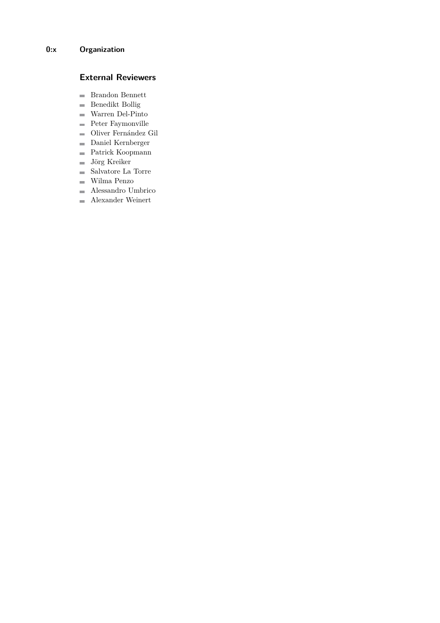### **External Reviewers**

- Brandon Bennett
- $\quad \blacksquare$  Benedikt Bollig
- Warren Del-Pinto
- **Peter Faymonville**
- Oliver Fernández Gil
- Daniel Kernberger
- Patrick Koopmann
- Jörg Kreiker
- $\blacksquare$ Salvatore La Torre
- Wilma Penzo
- Alessandro Umbrico
- Alexander Weinert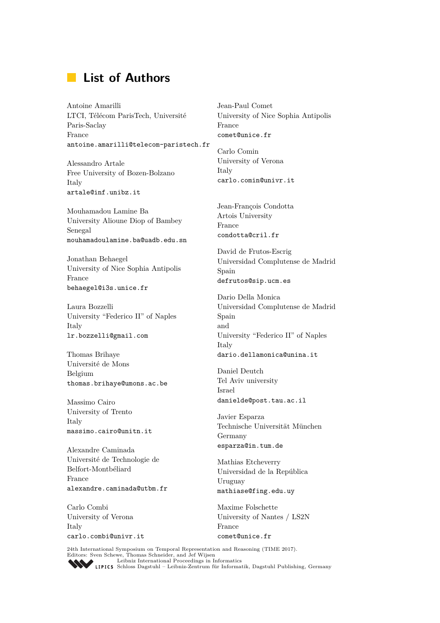# **List of Authors**

Antoine Amarilli LTCI, Télécom ParisTech, Université Paris-Saclay France antoine.amarilli@telecom-paristech.fr

Alessandro Artale Free University of Bozen-Bolzano Italy artale@inf.unibz.it

Mouhamadou Lamine Ba University Alioune Diop of Bambey Senegal mouhamadoulamine.ba@uadb.edu.sn

Jonathan Behaegel University of Nice Sophia Antipolis France behaegel@i3s.unice.fr

Laura Bozzelli University "Federico II" of Naples Italy lr.bozzelli@gmail.com

Thomas Brihaye Université de Mons Belgium thomas.brihaye@umons.ac.be

Massimo Cairo University of Trento Italy massimo.cairo@unitn.it

Alexandre Caminada Université de Technologie de Belfort-Montbéliard France alexandre.caminada@utbm.fr

Carlo Combi University of Verona Italy carlo.combi@univr.it Jean-Paul Comet University of Nice Sophia Antipolis France comet@unice.fr

Carlo Comin University of Verona Italy carlo.comin@univr.it

Jean-François Condotta Artois University France condotta@cril.fr

David de Frutos-Escrig Universidad Complutense de Madrid Spain defrutos@sip.ucm.es

Dario Della Monica Universidad Complutense de Madrid Spain and University "Federico II" of Naples Italy dario.dellamonica@unina.it

Daniel Deutch Tel Aviv university Israel danielde@post.tau.ac.il

Javier Esparza Technische Universität München Germany esparza@in.tum.de

Mathias Etcheverry Universidad de la República Uruguay mathiase@fing.edu.uy

Maxime Folschette University of Nantes / LS2N France comet@unice.fr

24th International Symposium on Temporal Representation and Reasoning (TIME 2017).<br>
Editors: Sven Schewe, Thomas Schneider, and Jef Wijsen<br> [Leibniz International Proceedings in Informatics](http://www.dagstuhl.de/en/publications/lipics/)

Leibniz International Florecturies in miormatics<br>LIPICS [Schloss Dagstuhl – Leibniz-Zentrum für Informatik, Dagstuhl Publishing, Germany](http://www.dagstuhl.de/en/about-dagstuhl/)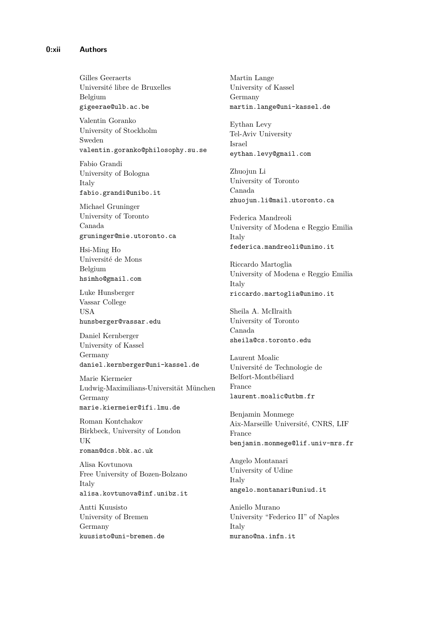Gilles Geeraerts Université libre de Bruxelles Belgium gigeerae@ulb.ac.be

Valentin Goranko University of Stockholm Sweden valentin.goranko@philosophy.su.se

Fabio Grandi University of Bologna Italy fabio.grandi@unibo.it

Michael Gruninger University of Toronto Canada gruninger@mie.utoronto.ca

Hsi-Ming Ho Université de Mons Belgium hsimho@gmail.com

Luke Hunsberger Vassar College USA hunsberger@vassar.edu

Daniel Kernberger University of Kassel Germany daniel.kernberger@uni-kassel.de

Marie Kiermeier Ludwig-Maximilians-Universität München Germany marie.kiermeier@ifi.lmu.de

Roman Kontchakov Birkbeck, University of London UK roman@dcs.bbk.ac.uk

Alisa Kovtunova Free University of Bozen-Bolzano Italy alisa.kovtunova@inf.unibz.it

Antti Kuusisto University of Bremen Germany kuusisto@uni-bremen.de

Martin Lange University of Kassel Germany martin.lange@uni-kassel.de

Eythan Levy Tel-Aviv University Israel eythan.levy@gmail.com

Zhuojun Li University of Toronto Canada zhuojun.li@mail.utoronto.ca

Federica Mandreoli University of Modena e Reggio Emilia Italy federica.mandreoli@unimo.it

Riccardo Martoglia University of Modena e Reggio Emilia Italy riccardo.martoglia@unimo.it

Sheila A. McIlraith University of Toronto Canada sheila@cs.toronto.edu

Laurent Moalic Université de Technologie de Belfort-Montbéliard France laurent.moalic@utbm.fr

Benjamin Monmege Aix-Marseille Université, CNRS, LIF France benjamin.monmege@lif.univ-mrs.fr

Angelo Montanari University of Udine Italy angelo.montanari@uniud.it

Aniello Murano University "Federico II" of Naples Italy murano@na.infn.it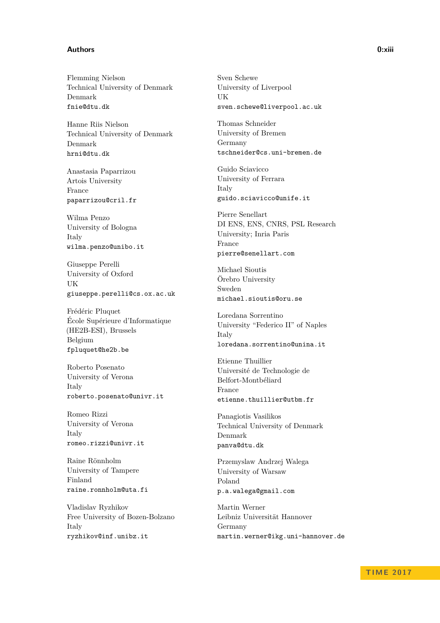#### **Authors 0:xiii**

Flemming Nielson Technical University of Denmark Denmark fnie@dtu.dk

Hanne Riis Nielson Technical University of Denmark Denmark hrni@dtu.dk

Anastasia Paparrizou Artois University France paparrizou@cril.fr

Wilma Penzo University of Bologna Italy wilma.penzo@unibo.it

Giuseppe Perelli University of Oxford UK giuseppe.perelli@cs.ox.ac.uk

Frédéric Pluquet École Supérieure d'Informatique (HE2B-ESI), Brussels Belgium fpluquet@he2b.be

Roberto Posenato University of Verona Italy roberto.posenato@univr.it

Romeo Rizzi University of Verona Italy romeo.rizzi@univr.it

Raine Rönnholm University of Tampere Finland raine.ronnholm@uta.fi

Vladislav Ryzhikov Free University of Bozen-Bolzano Italy ryzhikov@inf.unibz.it

Sven Schewe University of Liverpool UK sven.schewe@liverpool.ac.uk

Thomas Schneider University of Bremen Germany tschneider@cs.uni-bremen.de

Guido Sciavicco University of Ferrara Italy guido.sciavicco@unife.it

Pierre Senellart DI ENS, ENS, CNRS, PSL Research University; Inria Paris France pierre@senellart.com

Michael Sioutis Örebro University Sweden michael.sioutis@oru.se

Loredana Sorrentino University "Federico II" of Naples Italy loredana.sorrentino@unina.it

Etienne Thuillier Université de Technologie de Belfort-Montbéliard France etienne.thuillier@utbm.fr

Panagiotis Vasilikos Technical University of Denmark Denmark panva@dtu.dk

Przemyslaw Andrzej Walega University of Warsaw Poland p.a.walega@gmail.com

Martin Werner Leibniz Universität Hannover Germany martin.werner@ikg.uni-hannover.de